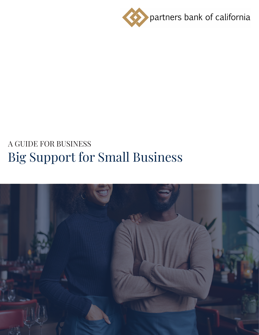

# Big Support for Small Business

# A GUIDE FOR BUSINESS

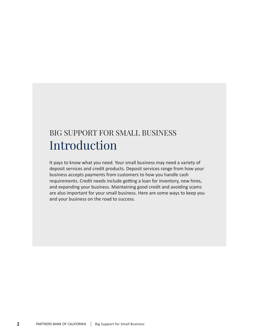### BIG SUPPORT FOR SMALL BUSINESS Introduction

It pays to know what you need. Your small business may need a variety of deposit services and credit products. Deposit services range from how your business accepts payments from customers to how you handle cash requirements. Credit needs include getting a loan for inventory, new hires, and expanding your business. Maintaining good credit and avoiding scams are also important for your small business. Here are some ways to keep you and your business on the road to success.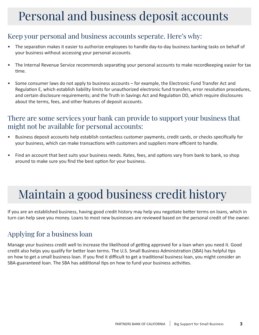### Personal and business deposit accounts

#### Keep your personal and business accounts seperate. Here's why:

- The separation makes it easier to authorize employees to handle day-to-day business banking tasks on behalf of your business without accessing your personal accounts.
- The Internal Revenue Service recommends separating your personal accounts to make recordkeeping easier for tax time.
- Some consumer laws do not apply to business accounts for example, the Electronic Fund Transfer Act and Regulation E, which establish liability limits for unauthorized electronic fund transfers, error resolution procedures, and certain disclosure requirements; and the Truth in Savings Act and Regulation DD, which require disclosures about the terms, fees, and other features of deposit accounts.

#### There are some services your bank can provide to support your business that might not be available for personal accounts:

- Business deposit accounts help establish contactless customer payments, credit cards, or checks specifically for your business, which can make transactions with customers and suppliers more efficient to handle.
- Find an account that best suits your business needs. Rates, fees, and options vary from bank to bank, so shop around to make sure you find the best option for your business.

## Maintain a good business credit history

If you are an established business, having good credit history may help you negotiate better terms on loans, which in turn can help save you money. Loans to most new businesses are reviewed based on the personal credit of the owner.

### Applying for a business loan

Manage your business credit well to increase the likelihood of getting approved for a loan when you need it. Good credit also helps you qualify for better loan terms. The U.S. Small Business Administration (SBA) has helpful tips on how to get a small business loan. If you find it difficult to get a traditional business loan, you might consider an SBA-guaranteed loan. The SBA has additional tips on how to fund your business activities.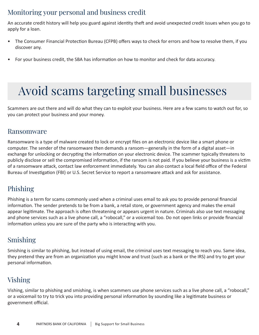### Monitoring your personal and business credit

An accurate credit history will help you guard against identity theft and avoid unexpected credit issues when you go to apply for a loan.

- The Consumer Financial Protection Bureau (CFPB) offers ways to check for errors and how to resolve them, if you discover any.
- For your business credit, the SBA has information on how to monitor and check for data accuracy.

### Avoid scams targeting small businesses

Scammers are out there and will do what they can to exploit your business. Here are a few scams to watch out for, so you can protect your business and your money.

#### Ransomware

Ransomware is a type of malware created to lock or encrypt files on an electronic device like a smart phone or computer. The sender of the ransomware then demands a ransom—generally in the form of a digital asset—in exchange for unlocking or decrypting the information on your electronic device. The scammer typically threatens to publicly disclose or sell the compromised information, if the ransom is not paid. If you believe your business is a victim of a ransomware attack, contact law enforcement immediately. You can also contact a local field office of the Federal Bureau of Investigation (FBI) or U.S. Secret Service to report a ransomware attack and ask for assistance.

### Phishing

Phishing is a term for scams commonly used when a criminal uses email to ask you to provide personal financial information. The sender pretends to be from a bank, a retail store, or government agency and makes the email appear legitimate. The approach is often threatening or appears urgent in nature. Criminals also use text messaging and phone services such as a live phone call, a "robocall," or a voicemail too. Do not open links or provide financial information unless you are sure of the party who is interacting with you.

#### Smishing

Smishing is similar to phishing, but instead of using email, the criminal uses text messaging to reach you. Same idea, they pretend they are from an organization you might know and trust (such as a bank or the IRS) and try to get your personal information.

### Vishing

Vishing, similar to phishing and smishing, is when scammers use phone services such as a live phone call, a "robocall," or a voicemail to try to trick you into providing personal information by sounding like a legitimate business or government official.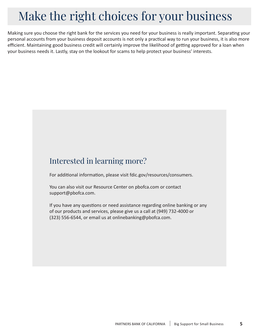### Make the right choices for your business

Making sure you choose the right bank for the services you need for your business is really important. Separating your personal accounts from your business deposit accounts is not only a practical way to run your business, it is also more efficient. Maintaining good business credit will certainly improve the likelihood of getting approved for a loan when your business needs it. Lastly, stay on the lookout for scams to help protect your business' interests.

### Interested in learning more?

For additional information, please visit fdic.gov/resources/consumers.

You can also visit our Resource Center on pbofca.com or contact support@pbofca.com.

If you have any questions or need assistance regarding online banking or any of our products and services, please give us a call at (949) 732-4000 or (323) 556-6544, or email us at onlinebanking@pbofca.com.